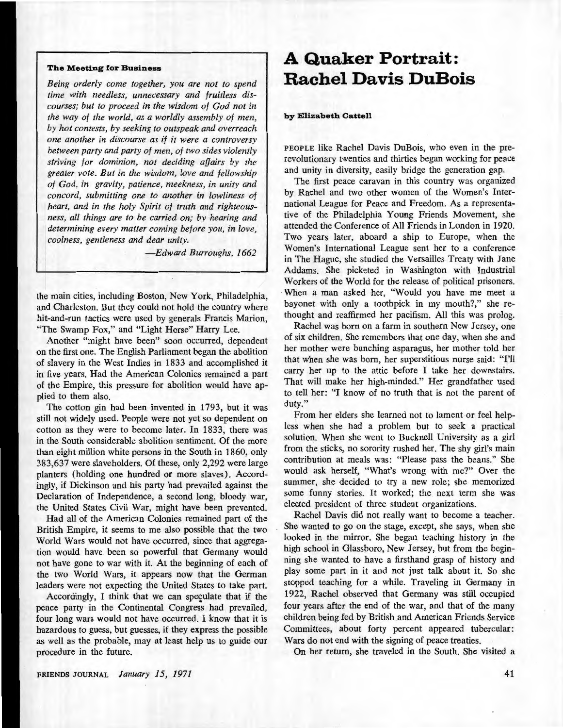### **The Meeting for Business**

*Being orderly come together, you are not to spend time with needless, unnecessary and fruitless discourses; but to proceed in the wisdom of God not in the way of the world, as a worldly assembly of men, by hot contests, by seeking to outspeak and overreach one another in discourse as if it were a controversy between party and party of men, of two sides violently striving for dominion, not deciding affairs by the greater vote. But in the wisdom, love and fellowship of God, in gravity, patience, meekness, in unity and concord, submitting one to another in lowliness of heart, and in the holy Spirit of truth and righteousness, all things are to be carried on; by hearing and determining every matter coming before you, in love, coolness, gentleness and dear unity.* 

*-Edward Burroughs, 1662* 

the main cities, including Boston, New York, Philadelphia, and Charleston. But they could not hold the country where hit-and-run tactics were used by generals Francis Marion, "The Swamp Fox," and "Light Horse" Harry Lee.

Another "might have been" soon occurred, dependent on the first one. The English Parliament began the abolition of slavery in the West Indies in 1833 and accomplished it in five years. Had the American Colonies remained a part of the Empire, this pressure for abolition would have applied to them also.

The cotton gin had been invented in 1793, but it was still not widely used. People were not yet so dependent on cotton as they were to become later. In 1833, there was in the South considerable abolition sentiment. Of the more than eight million white persons in the South in 1860, only 383,637 were slaveholders. Of these, only 2,292 were large planters (holding one hundred or more slaves). Accordingly, if Dickinson and his party had prevailed against the Declaration of Independence, a second long, bloody war, the United States Civil War, might have been prevented.

Had all of the American Colonies remained part of the British Empire, it seems to me also possible that the two World Wars would not have occurred, since that aggregation would have been so powerful that Germany would not have gone to war with it. At the beginning of each of the two World Wars, it appears now that the German leaders were not expecting the United States to take part.

Accordingly, I think that we can speculate that if the peace party in the Continental Congress had prevailed, four long wars would not have occurred. I know that it is hazardous to guess, but guesses, if they express the possible as well as the probable, may at least help us to guide our procedure in the future.

# **A Quaker Portrait: Rachel Davis DuBois**

#### **by Elizabeth Cattell**

PEOPLE like Rachel Davis DuBois, who even in the prerevolutionary twenties and thirties began working for peace and unity in diversity, easily bridge the generation gap.

The first peace caravan in this country was organized by Rachel and two other women of the Women's International League for Peace and Freedom. As a representative of the Philadelphia Young Friends Movement, she attended the Conference of All Friends in London in 1920. Two years later, aboard a ship to Europe, when the Women's International League sent her to a conference in The Hague, she studied the Versailles Treaty with Jane Addams. She picketed in Washington with Industrial Workers of the World for the release of political prisoners. When a man asked her, "Would you have me meet a bayonet with only a toothpick in my mouth?," she rethought and reaffirmed her pacifism. All this was prolog.

Rachel was born on a farm in southern New Jersey, one of six children. She remembers that one day, when she and her mother were bunching asparagus, her mother told her that when she was born, her superstitious nurse said: "I'll carry her up to the attic before I take her downstairs. That will make her high-minded." Her grandfather used to tell her: "I know of no truth that is not the parent of duty."

From her elders she learned not to lament or feel helpless when she had a problem but to seek a practical solution. When she went to Bucknell University as a girl from the sticks, no sorority rushed her. The shy girl's main contribution at meals was: "Please pass the beans." She would ask herself, "What's wrong with me?" Over the summer, she decided to try a new role; she memorized some funny stories. It worked; the next term she was elected president of three student organizations.

Rachel Davis did not really want to become a teacher. She wanted to go on the stage, except, she says, when she looked in the mirror. She began teaching history in the high school in Glassboro, New Jersey, but from the beginning she wanted to have a firsthand grasp of history and play some part in it and not just talk about it. So she stopped teaching for a while. Traveling in Germany in 1922, Rachel observed that Germany was still occupied four years after the end of the war, and that of the many children being fed by British and American Friends Service Committees, about forty percent appeared tubercular: Wars do not end with the signing of peace treaties.

On her return, she traveled in the South. She visited a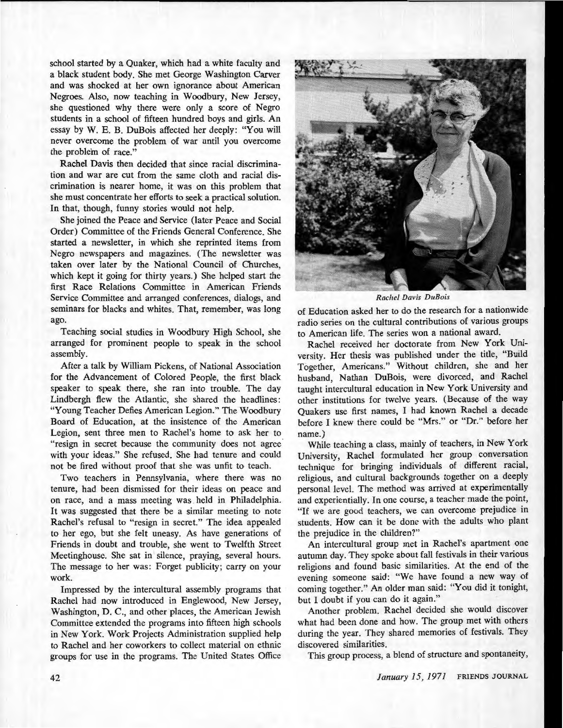school started by a Quaker, which had a white faculty and a black student body. She met George Washington Carver and was shocked at her own ignorance about American Negroes. Also, now teaching in Woodbury, New Jersey, she questioned why there were only a score of Negro students in a school of fifteen hundred boys and girls. An essay by W. E. B. DuBois affected her deeply: "You will never overcome the problem of war until you overcome the problem of race."

Rachel Davis then decided that since racial discrimination and war are cut from the same cloth and racial discrimination is nearer home, it was on this problem that she must concentrate her efforts to seek a practical solution. In that, though, funny stories would not help.

She joined the Peace and Service (later Peace and Social Order) Committee of the Friends General Conference. She started a newsletter, in which she reprinted items from Negro newspapers and magazines. (The newsletter was taken over later by the National Council of Churches, which kept it going for thirty years.) She helped start the first Race Relations Committee in American Friends Service Committee and arranged conferences, dialogs, and seminars for blacks and whites. That, remember, was long ago.

Teaching social studies in Woodbury High School, she arranged for prominent people to speak in the school assembly.

After a talk by William Pickens, of National Association for the Advancement of Colored People, the first black speaker to speak there, she ran into trouble. The day Lindbergh flew the Atlantic, she shared the headlines: "Young Teacher Defies American Legion." The Woodbury Board of Education, at the insistence of the American Legion, sent three men to Rachel's home to ask her to "resign in secret because the community does not agree with your ideas." She refused. She had tenure and could not be fired without proof that she was unfit to teach.

Two teachers in Pennsylvania, where there was no tenure, had been dismissed for their ideas on peace and on race, and a mass meeting was. held in Philadelphia. It was suggested that there be a similar meeting to note Rachel's refusal to "resign in secret." The idea appealed to her ego, but she felt uneasy. As have generations of Friends in doubt and trouble, she went to Twelfth Street Meetinghouse. She sat in silence, praying, several hours. The message to her was: Forget publicity; carry on your work.

Impressed by the intercultural assembly programs that Rachel had now introduced in Englewood, New Jersey, Washington, D. C., and other places, the American Jewish Committee extended the programs into fifteen high schools in New York. Work Projects Administration supplied help to Rachel and her coworkers to collect material on ethnic groups for use in the programs. The United States Office



*Rachel Davis DuBois* 

of Education asked her to do the research for a nationwide radio series on the cultural contributions of various groups to American life. The series won a national award.

Rachel received her doctorate from New York University. Her thesis was published under the title, "Build Together, Americans." Without children, she and her husband, Nathan DuBois, were divorced, and Rachel taught intercultural education in New York University and other institutions for twelve years. (Because of the way Quakers use first names, I had known Rachel a decade before I knew there could be "Mrs." or "Dr." before her name.)

While teaching a class, mainly of teachers, in New York University, Rachel formulated her group conversation technique for bringing individuals of different racial, religious, and cultural backgrounds together on a deeply personal level. The method was arrived at experimentally and experientially. In one course, a teacher made the point, "If we are good teachers, we can overcome prejudice in students. How can it be done with the adults who plant the prejudice in the children?"

An intercultural group met in Rachel's apartment one autumn day. They spoke about fall festivals in their various religions and found basic similarities. At the end of the evening someone said: "We have found a new way of coming together." An older man said: "You did it tonight, but I doubt if you can do it again."

Another problem. Rachel decided she would discover what had been done and how. The group met with others during the year. They shared memories of festivals. They discovered similarities.

This group process, a blend of structure and spontaneity,